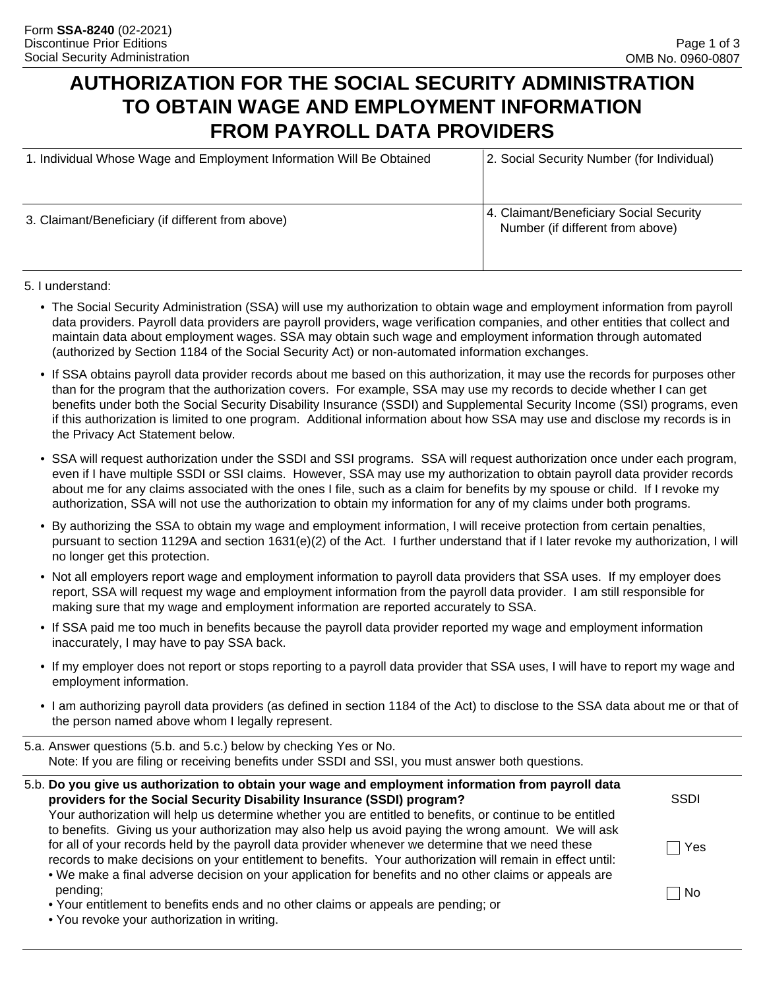# **AUTHORIZATION FOR THE SOCIAL SECURITY ADMINISTRATION TO OBTAIN WAGE AND EMPLOYMENT INFORMATION FROM PAYROLL DATA PROVIDERS**

| 1. Individual Whose Wage and Employment Information Will Be Obtained | 2. Social Security Number (for Individual)                                  |  |  |
|----------------------------------------------------------------------|-----------------------------------------------------------------------------|--|--|
|                                                                      |                                                                             |  |  |
| 3. Claimant/Beneficiary (if different from above)                    | 4. Claimant/Beneficiary Social Security<br>Number (if different from above) |  |  |
|                                                                      |                                                                             |  |  |

#### 5. I understand:

- The Social Security Administration (SSA) will use my authorization to obtain wage and employment information from payroll data providers. Payroll data providers are payroll providers, wage verification companies, and other entities that collect and maintain data about employment wages. SSA may obtain such wage and employment information through automated (authorized by Section 1184 of the Social Security Act) or non-automated information exchanges.
- If SSA obtains payroll data provider records about me based on this authorization, it may use the records for purposes other than for the program that the authorization covers. For example, SSA may use my records to decide whether I can get benefits under both the Social Security Disability Insurance (SSDI) and Supplemental Security Income (SSI) programs, even if this authorization is limited to one program. Additional information about how SSA may use and disclose my records is in the Privacy Act Statement below.
- SSA will request authorization under the SSDI and SSI programs. SSA will request authorization once under each program, even if I have multiple SSDI or SSI claims. However, SSA may use my authorization to obtain payroll data provider records about me for any claims associated with the ones I file, such as a claim for benefits by my spouse or child. If I revoke my authorization, SSA will not use the authorization to obtain my information for any of my claims under both programs.
- By authorizing the SSA to obtain my wage and employment information, I will receive protection from certain penalties, pursuant to section 1129A and section 1631(e)(2) of the Act. I further understand that if I later revoke my authorization, I will no longer get this protection.
- Not all employers report wage and employment information to payroll data providers that SSA uses. If my employer does report, SSA will request my wage and employment information from the payroll data provider. I am still responsible for making sure that my wage and employment information are reported accurately to SSA.
- If SSA paid me too much in benefits because the payroll data provider reported my wage and employment information inaccurately, I may have to pay SSA back.
- If my employer does not report or stops reporting to a payroll data provider that SSA uses, I will have to report my wage and employment information.
- I am authorizing payroll data providers (as defined in section 1184 of the Act) to disclose to the SSA data about me or that of the person named above whom I legally represent.
- 5.a. Answer questions (5.b. and 5.c.) below by checking Yes or No. Note: If you are filing or receiving benefits under SSDI and SSI, you must answer both questions.

| 5.b. Do you give us authorization to obtain your wage and employment information from payroll data         |             |
|------------------------------------------------------------------------------------------------------------|-------------|
| providers for the Social Security Disability Insurance (SSDI) program?                                     | <b>SSDI</b> |
| Your authorization will help us determine whether you are entitled to benefits, or continue to be entitled |             |
| to benefits. Giving us your authorization may also help us avoid paying the wrong amount. We will ask      |             |
| for all of your records held by the payroll data provider whenever we determine that we need these         | Yes         |
| records to make decisions on your entitlement to benefits. Your authorization will remain in effect until: |             |
| • We make a final adverse decision on your application for benefits and no other claims or appeals are     |             |
| pending;                                                                                                   | l No        |
| • Your entitlement to benefits ends and no other claims or appeals are pending; or                         |             |
|                                                                                                            |             |

• You revoke your authorization in writing.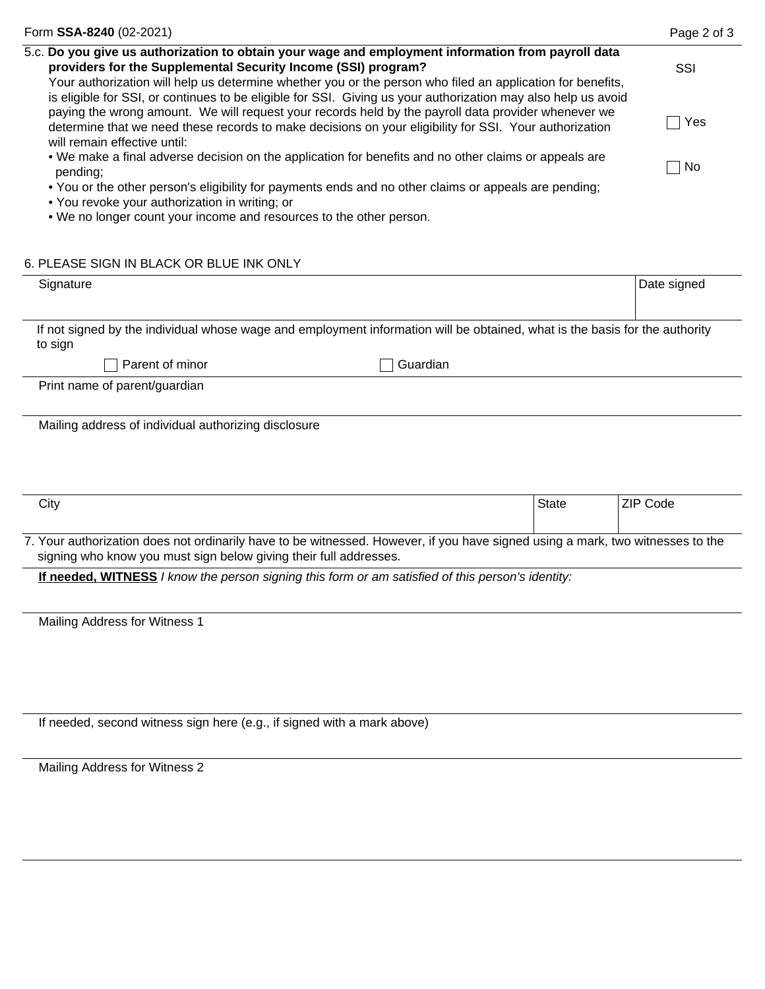| Form SSA-8240 (02-2021)                                                                                                                                                                                                                       | Page 2 of 3 |
|-----------------------------------------------------------------------------------------------------------------------------------------------------------------------------------------------------------------------------------------------|-------------|
| 5.c. Do you give us authorization to obtain your wage and employment information from payroll data<br>providers for the Supplemental Security Income (SSI) program?                                                                           | SSI         |
| Your authorization will help us determine whether you or the person who filed an application for benefits,<br>is eligible for SSI, or continues to be eligible for SSI. Giving us your authorization may also help us avoid                   |             |
| paying the wrong amount. We will request your records held by the payroll data provider whenever we<br>determine that we need these records to make decisions on your eligibility for SSI. Your authorization<br>will remain effective until: | Yes         |
| . We make a final adverse decision on the application for benefits and no other claims or appeals are<br>pending;                                                                                                                             | No          |
| • You or the other person's eligibility for payments ends and no other claims or appeals are pending;<br>• You revoke your authorization in writing; or                                                                                       |             |
| . We no longer count your income and resources to the other person.                                                                                                                                                                           |             |

#### 6. PLEASE SIGN IN BLACK OR BLUE INK ONLY

| Signature                                                                                                                              |          | Date signed |  |
|----------------------------------------------------------------------------------------------------------------------------------------|----------|-------------|--|
|                                                                                                                                        |          |             |  |
| If not signed by the individual whose wage and employment information will be obtained, what is the basis for the authority<br>to sign |          |             |  |
| Parent of minor                                                                                                                        | Guardian |             |  |
| Print name of parent/guardian                                                                                                          |          |             |  |
|                                                                                                                                        |          |             |  |
| Mailing address of individual authorizing disclosure                                                                                   |          |             |  |

| City                                                                                                                           | <b>State</b> | ZIP Code |  |
|--------------------------------------------------------------------------------------------------------------------------------|--------------|----------|--|
|                                                                                                                                |              |          |  |
| 7. Your authorization does not ordinarily have to be witnessed. However, if you have signed using a mark, two witnesses to the |              |          |  |
| signing who know you must sign below giving their full addresses.                                                              |              |          |  |

**If needed, WITNESS** *I know the person signing this form or am satisfied of this person's identity:*

Mailing Address for Witness 1

If needed, second witness sign here (e.g., if signed with a mark above)

Mailing Address for Witness 2